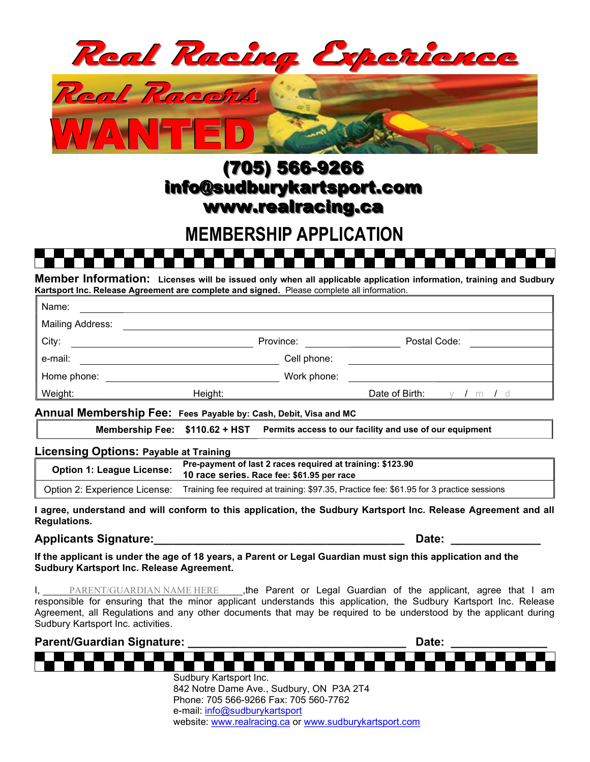

# (705) 566-9266 info@sudburykartsport.com www.realracing.ca

## MEMBERSHIP APPLICATION

Member Information: Licenses will be issued only when all applicable application information, training and Sudbury Kartsport Inc. Release Agreement are complete and signed. Please complete all information.

| Name:                   |         |             |                |       |
|-------------------------|---------|-------------|----------------|-------|
| <b>Mailing Address:</b> |         |             |                |       |
| City:                   |         | Province:   | Postal Code:   |       |
| e-mail:                 |         | Cell phone: |                |       |
| Home phone:             |         | Work phone: |                |       |
| Weight:                 | Height: |             | Date of Birth: | m / d |
|                         |         |             |                |       |

Annual Membership Fee: Fees Payable by: Cash, Debit, Visa and MC

Membership Fee:  $$110.62 + HST$  Permits access to our facility and use of our equipment

#### Licensing Options: Payable at Training

| <b>Option 1: League License:</b> | Pre-payment of last 2 races required at training: \$123.90<br>10 race series. Race fee: \$61.95 per race |  |
|----------------------------------|----------------------------------------------------------------------------------------------------------|--|
| Option 2: Experience License:    | Training fee required at training: \$97.35, Practice fee: \$61.95 for 3 practice sessions                |  |

I agree, understand and will conform to this application, the Sudbury Kartsport Inc. Release Agreement and all Regulations.

#### Applicants Signature: etc. Applicants Signature: the extension of the extension of the extension of the extension of the extension of the extension of the extension of the extension of the extension of the extension of the

If the applicant is under the age of 18 years, a Parent or Legal Guardian must sign this application and the Sudbury Kartsport Inc. Release Agreement.

I, PARENT/GUARDIAN NAME HERE , the Parent or Legal Guardian of the applicant, agree that I am responsible for ensuring that the minor applicant understands this application, the Sudbury Kartsport Inc. Release Agreement, all Regulations and any other documents that may be required to be understood by the applicant during Sudbury Kartsport Inc. activities.



Phone: 705 566-9266 Fax: 705 560-7762 e-mail: info@sudburykartsport website: www.realracing.ca or www.sudburykartsport.com